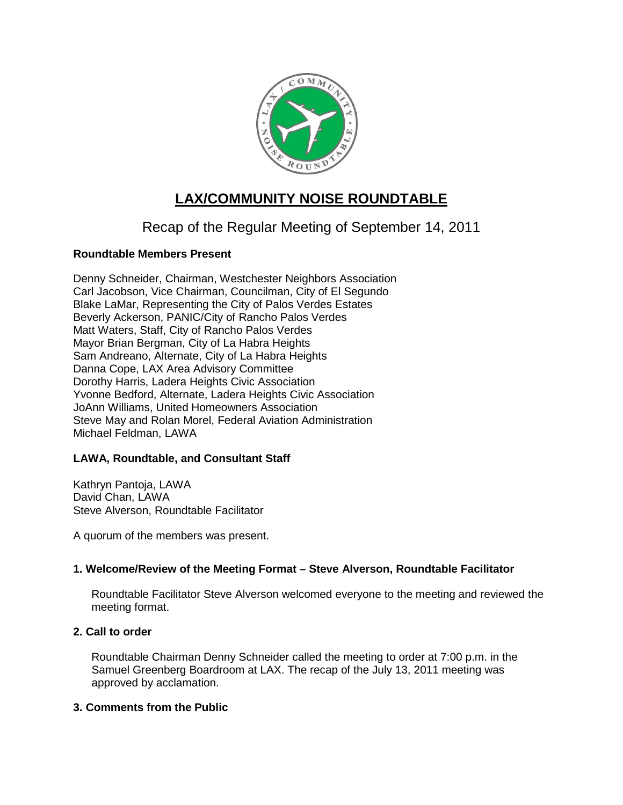

# **LAX/COMMUNITY NOISE ROUNDTABLE**

# Recap of the Regular Meeting of September 14, 2011

# **Roundtable Members Present**

Denny Schneider, Chairman, Westchester Neighbors Association Carl Jacobson, Vice Chairman, Councilman, City of El Segundo Blake LaMar, Representing the City of Palos Verdes Estates Beverly Ackerson, PANIC/City of Rancho Palos Verdes Matt Waters, Staff, City of Rancho Palos Verdes Mayor Brian Bergman, City of La Habra Heights Sam Andreano, Alternate, City of La Habra Heights Danna Cope, LAX Area Advisory Committee Dorothy Harris, Ladera Heights Civic Association Yvonne Bedford, Alternate, Ladera Heights Civic Association JoAnn Williams, United Homeowners Association Steve May and Rolan Morel, Federal Aviation Administration Michael Feldman, LAWA

# **LAWA, Roundtable, and Consultant Staff**

Kathryn Pantoja, LAWA David Chan, LAWA Steve Alverson, Roundtable Facilitator

A quorum of the members was present.

# **1. Welcome/Review of the Meeting Format – Steve Alverson, Roundtable Facilitator**

Roundtable Facilitator Steve Alverson welcomed everyone to the meeting and reviewed the meeting format.

# **2. Call to order**

Roundtable Chairman Denny Schneider called the meeting to order at 7:00 p.m. in the Samuel Greenberg Boardroom at LAX. The recap of the July 13, 2011 meeting was approved by acclamation.

## **3. Comments from the Public**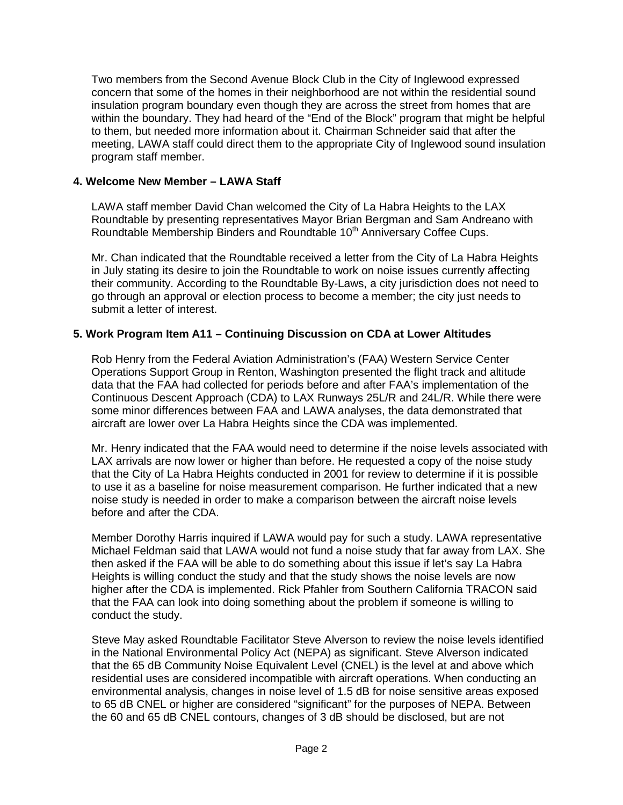Two members from the Second Avenue Block Club in the City of Inglewood expressed concern that some of the homes in their neighborhood are not within the residential sound insulation program boundary even though they are across the street from homes that are within the boundary. They had heard of the "End of the Block" program that might be helpful to them, but needed more information about it. Chairman Schneider said that after the meeting, LAWA staff could direct them to the appropriate City of Inglewood sound insulation program staff member.

# **4. Welcome New Member – LAWA Staff**

LAWA staff member David Chan welcomed the City of La Habra Heights to the LAX Roundtable by presenting representatives Mayor Brian Bergman and Sam Andreano with Roundtable Membership Binders and Roundtable 10<sup>th</sup> Anniversary Coffee Cups.

Mr. Chan indicated that the Roundtable received a letter from the City of La Habra Heights in July stating its desire to join the Roundtable to work on noise issues currently affecting their community. According to the Roundtable By-Laws, a city jurisdiction does not need to go through an approval or election process to become a member; the city just needs to submit a letter of interest.

## **5. Work Program Item A11 – Continuing Discussion on CDA at Lower Altitudes**

Rob Henry from the Federal Aviation Administration's (FAA) Western Service Center Operations Support Group in Renton, Washington presented the flight track and altitude data that the FAA had collected for periods before and after FAA's implementation of the Continuous Descent Approach (CDA) to LAX Runways 25L/R and 24L/R. While there were some minor differences between FAA and LAWA analyses, the data demonstrated that aircraft are lower over La Habra Heights since the CDA was implemented.

Mr. Henry indicated that the FAA would need to determine if the noise levels associated with LAX arrivals are now lower or higher than before. He requested a copy of the noise study that the City of La Habra Heights conducted in 2001 for review to determine if it is possible to use it as a baseline for noise measurement comparison. He further indicated that a new noise study is needed in order to make a comparison between the aircraft noise levels before and after the CDA.

Member Dorothy Harris inquired if LAWA would pay for such a study. LAWA representative Michael Feldman said that LAWA would not fund a noise study that far away from LAX. She then asked if the FAA will be able to do something about this issue if let's say La Habra Heights is willing conduct the study and that the study shows the noise levels are now higher after the CDA is implemented. Rick Pfahler from Southern California TRACON said that the FAA can look into doing something about the problem if someone is willing to conduct the study.

Steve May asked Roundtable Facilitator Steve Alverson to review the noise levels identified in the National Environmental Policy Act (NEPA) as significant. Steve Alverson indicated that the 65 dB Community Noise Equivalent Level (CNEL) is the level at and above which residential uses are considered incompatible with aircraft operations. When conducting an environmental analysis, changes in noise level of 1.5 dB for noise sensitive areas exposed to 65 dB CNEL or higher are considered "significant" for the purposes of NEPA. Between the 60 and 65 dB CNEL contours, changes of 3 dB should be disclosed, but are not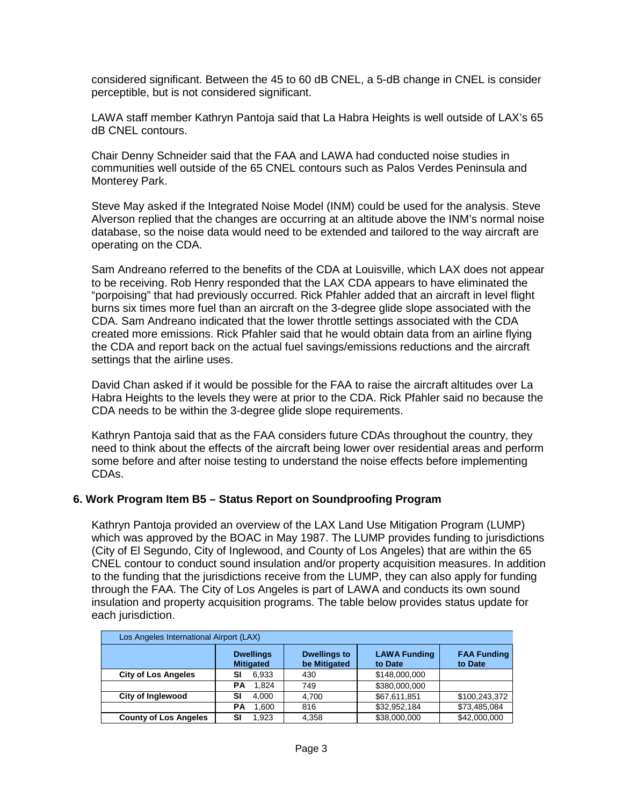considered significant. Between the 45 to 60 dB CNEL, a 5-dB change in CNEL is consider perceptible, but is not considered significant.

LAWA staff member Kathryn Pantoja said that La Habra Heights is well outside of LAX's 65 dB CNEL contours.

Chair Denny Schneider said that the FAA and LAWA had conducted noise studies in communities well outside of the 65 CNEL contours such as Palos Verdes Peninsula and Monterey Park.

Steve May asked if the Integrated Noise Model (INM) could be used for the analysis. Steve Alverson replied that the changes are occurring at an altitude above the INM's normal noise database, so the noise data would need to be extended and tailored to the way aircraft are operating on the CDA.

Sam Andreano referred to the benefits of the CDA at Louisville, which LAX does not appear to be receiving. Rob Henry responded that the LAX CDA appears to have eliminated the "porpoising" that had previously occurred. Rick Pfahler added that an aircraft in level flight burns six times more fuel than an aircraft on the 3-degree glide slope associated with the CDA. Sam Andreano indicated that the lower throttle settings associated with the CDA created more emissions. Rick Pfahler said that he would obtain data from an airline flying the CDA and report back on the actual fuel savings/emissions reductions and the aircraft settings that the airline uses.

David Chan asked if it would be possible for the FAA to raise the aircraft altitudes over La Habra Heights to the levels they were at prior to the CDA. Rick Pfahler said no because the CDA needs to be within the 3-degree glide slope requirements.

Kathryn Pantoja said that as the FAA considers future CDAs throughout the country, they need to think about the effects of the aircraft being lower over residential areas and perform some before and after noise testing to understand the noise effects before implementing CDAs.

## **6. Work Program Item B5 – Status Report on Soundproofing Program**

Kathryn Pantoja provided an overview of the LAX Land Use Mitigation Program (LUMP) which was approved by the BOAC in May 1987. The LUMP provides funding to jurisdictions (City of El Segundo, City of Inglewood, and County of Los Angeles) that are within the 65 CNEL contour to conduct sound insulation and/or property acquisition measures. In addition to the funding that the jurisdictions receive from the LUMP, they can also apply for funding through the FAA. The City of Los Angeles is part of LAWA and conducts its own sound insulation and property acquisition programs. The table below provides status update for each jurisdiction.

| Los Angeles International Airport (LAX) |                                      |                                     |                                |                               |  |  |
|-----------------------------------------|--------------------------------------|-------------------------------------|--------------------------------|-------------------------------|--|--|
|                                         | <b>Dwellings</b><br><b>Mitigated</b> | <b>Dwellings to</b><br>be Mitigated | <b>LAWA Funding</b><br>to Date | <b>FAA Funding</b><br>to Date |  |  |
| <b>City of Los Angeles</b>              | SI<br>6,933                          | 430                                 | \$148,000,000                  |                               |  |  |
|                                         | 1.824<br>РA                          | 749                                 | \$380,000,000                  |                               |  |  |
| <b>City of Inglewood</b>                | 4,000<br>SI                          | 4.700                               | \$67,611,851                   | \$100,243,372                 |  |  |
|                                         | 1,600<br>РA                          | 816                                 | \$32,952,184                   | \$73,485,084                  |  |  |
| <b>County of Los Angeles</b>            | SI<br>1.923                          | 4,358                               | \$38,000,000                   | \$42,000,000                  |  |  |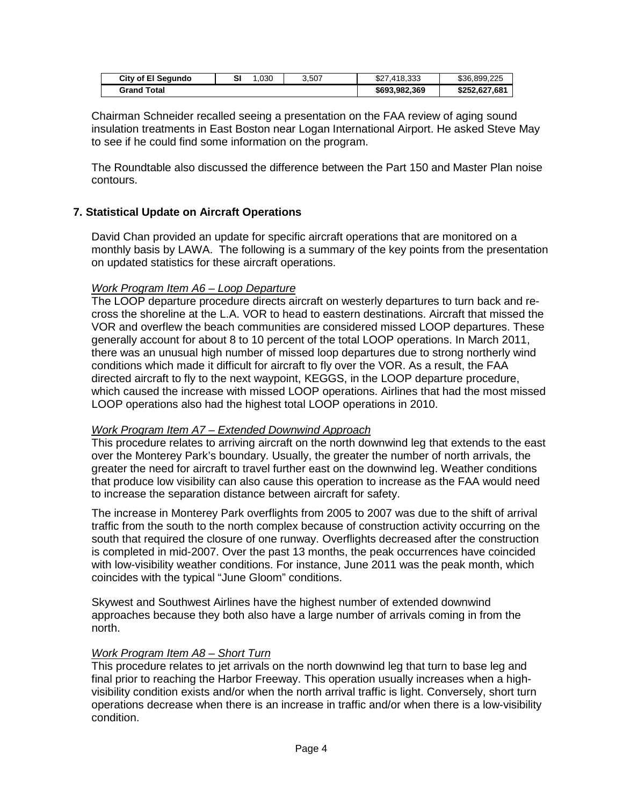| <b>City of El Segundo</b> | .030 | 3.507 | \$27,418,333  | \$36,899,225  |
|---------------------------|------|-------|---------------|---------------|
| <b>Grand Total</b>        |      |       | \$693,982,369 | \$252.627.681 |

Chairman Schneider recalled seeing a presentation on the FAA review of aging sound insulation treatments in East Boston near Logan International Airport. He asked Steve May to see if he could find some information on the program.

The Roundtable also discussed the difference between the Part 150 and Master Plan noise contours.

#### **7. Statistical Update on Aircraft Operations**

David Chan provided an update for specific aircraft operations that are monitored on a monthly basis by LAWA. The following is a summary of the key points from the presentation on updated statistics for these aircraft operations.

#### *Work Program Item A6 – Loop Departure*

The LOOP departure procedure directs aircraft on westerly departures to turn back and recross the shoreline at the L.A. VOR to head to eastern destinations. Aircraft that missed the VOR and overflew the beach communities are considered missed LOOP departures. These generally account for about 8 to 10 percent of the total LOOP operations. In March 2011, there was an unusual high number of missed loop departures due to strong northerly wind conditions which made it difficult for aircraft to fly over the VOR. As a result, the FAA directed aircraft to fly to the next waypoint, KEGGS, in the LOOP departure procedure, which caused the increase with missed LOOP operations. Airlines that had the most missed LOOP operations also had the highest total LOOP operations in 2010.

#### *Work Program Item A7 – Extended Downwind Approach*

This procedure relates to arriving aircraft on the north downwind leg that extends to the east over the Monterey Park's boundary. Usually, the greater the number of north arrivals, the greater the need for aircraft to travel further east on the downwind leg. Weather conditions that produce low visibility can also cause this operation to increase as the FAA would need to increase the separation distance between aircraft for safety.

The increase in Monterey Park overflights from 2005 to 2007 was due to the shift of arrival traffic from the south to the north complex because of construction activity occurring on the south that required the closure of one runway. Overflights decreased after the construction is completed in mid-2007. Over the past 13 months, the peak occurrences have coincided with low-visibility weather conditions. For instance, June 2011 was the peak month, which coincides with the typical "June Gloom" conditions.

Skywest and Southwest Airlines have the highest number of extended downwind approaches because they both also have a large number of arrivals coming in from the north.

#### *Work Program Item A8 – Short Turn*

This procedure relates to jet arrivals on the north downwind leg that turn to base leg and final prior to reaching the Harbor Freeway. This operation usually increases when a highvisibility condition exists and/or when the north arrival traffic is light. Conversely, short turn operations decrease when there is an increase in traffic and/or when there is a low-visibility condition.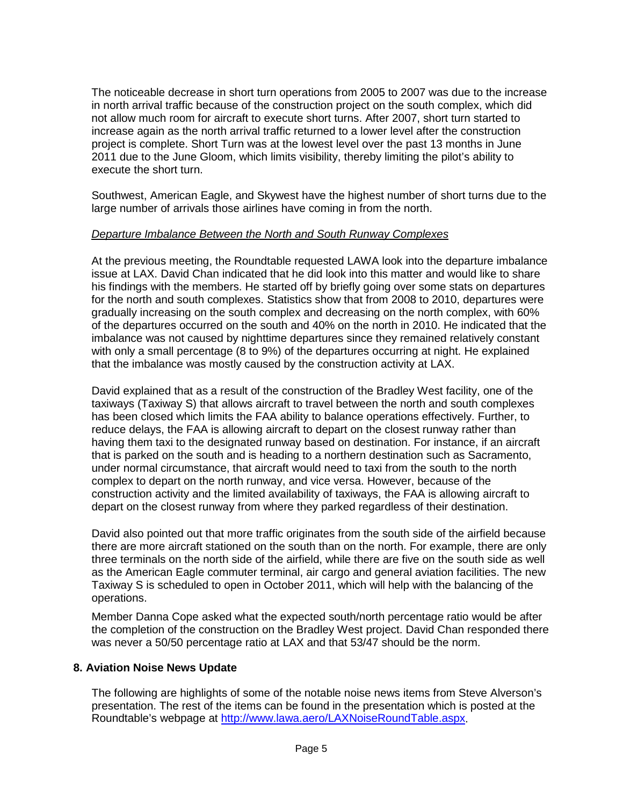The noticeable decrease in short turn operations from 2005 to 2007 was due to the increase in north arrival traffic because of the construction project on the south complex, which did not allow much room for aircraft to execute short turns. After 2007, short turn started to increase again as the north arrival traffic returned to a lower level after the construction project is complete. Short Turn was at the lowest level over the past 13 months in June 2011 due to the June Gloom, which limits visibility, thereby limiting the pilot's ability to execute the short turn.

Southwest, American Eagle, and Skywest have the highest number of short turns due to the large number of arrivals those airlines have coming in from the north.

## *Departure Imbalance Between the North and South Runway Complexes*

At the previous meeting, the Roundtable requested LAWA look into the departure imbalance issue at LAX. David Chan indicated that he did look into this matter and would like to share his findings with the members. He started off by briefly going over some stats on departures for the north and south complexes. Statistics show that from 2008 to 2010, departures were gradually increasing on the south complex and decreasing on the north complex, with 60% of the departures occurred on the south and 40% on the north in 2010. He indicated that the imbalance was not caused by nighttime departures since they remained relatively constant with only a small percentage (8 to 9%) of the departures occurring at night. He explained that the imbalance was mostly caused by the construction activity at LAX.

David explained that as a result of the construction of the Bradley West facility, one of the taxiways (Taxiway S) that allows aircraft to travel between the north and south complexes has been closed which limits the FAA ability to balance operations effectively. Further, to reduce delays, the FAA is allowing aircraft to depart on the closest runway rather than having them taxi to the designated runway based on destination. For instance, if an aircraft that is parked on the south and is heading to a northern destination such as Sacramento, under normal circumstance, that aircraft would need to taxi from the south to the north complex to depart on the north runway, and vice versa. However, because of the construction activity and the limited availability of taxiways, the FAA is allowing aircraft to depart on the closest runway from where they parked regardless of their destination.

David also pointed out that more traffic originates from the south side of the airfield because there are more aircraft stationed on the south than on the north. For example, there are only three terminals on the north side of the airfield, while there are five on the south side as well as the American Eagle commuter terminal, air cargo and general aviation facilities. The new Taxiway S is scheduled to open in October 2011, which will help with the balancing of the operations.

Member Danna Cope asked what the expected south/north percentage ratio would be after the completion of the construction on the Bradley West project. David Chan responded there was never a 50/50 percentage ratio at LAX and that 53/47 should be the norm.

## **8. Aviation Noise News Update**

The following are highlights of some of the notable noise news items from Steve Alverson's presentation. The rest of the items can be found in the presentation which is posted at the Roundtable's webpage at [http://www.lawa.aero/LAXNoiseRoundTable.aspx.](http://www.lawa.aero/LAXNoiseRoundTable.aspx)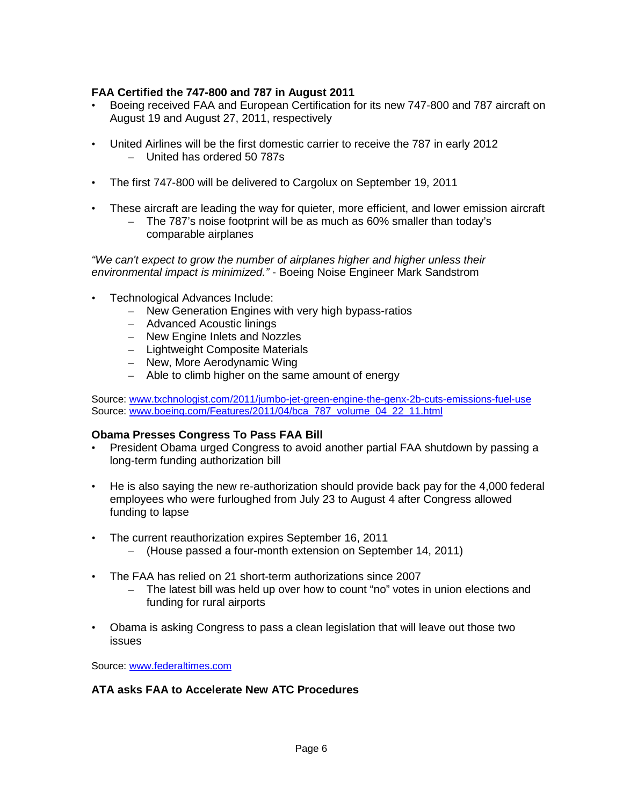# **FAA Certified the 747-800 and 787 in August 2011**

- Boeing received FAA and European Certification for its new 747-800 and 787 aircraft on August 19 and August 27, 2011, respectively
- United Airlines will be the first domestic carrier to receive the 787 in early 2012 – United has ordered 50 787s
- The first 747-800 will be delivered to Cargolux on September 19, 2011
- These aircraft are leading the way for quieter, more efficient, and lower emission aircraft
	- The 787's noise footprint will be as much as 60% smaller than today's comparable airplanes

*"We can't expect to grow the number of airplanes higher and higher unless their environmental impact is minimized."* - Boeing Noise Engineer Mark Sandstrom

- Technological Advances Include:
	- New Generation Engines with very high bypass-ratios
	- Advanced Acoustic linings
	- New Engine Inlets and Nozzles
	- Lightweight Composite Materials
	- New, More Aerodynamic Wing
	- Able to climb higher on the same amount of energy

Source: [www.txchnologist.com/2011/jumbo-jet-green-engine-the-genx-2b-cuts-emissions-fuel-use](http://www.txchnologist.com/2011/jumbo-jet-green-engine-the-genx-2b-cuts-emissions-fuel-use) Source: [www.boeing.com/Features/2011/04/bca\\_787\\_volume\\_04\\_22\\_11.html](http://www.boeing.com/Features/2011/04/bca_787_volume_04_22_11.html)

## **Obama Presses Congress To Pass FAA Bill**

- President Obama urged Congress to avoid another partial FAA shutdown by passing a long-term funding authorization bill
- He is also saying the new re-authorization should provide back pay for the 4,000 federal employees who were furloughed from July 23 to August 4 after Congress allowed funding to lapse
- The current reauthorization expires September 16, 2011
	- (House passed a four-month extension on September 14, 2011)
- The FAA has relied on 21 short-term authorizations since 2007
	- The latest bill was held up over how to count "no" votes in union elections and funding for rural airports
- Obama is asking Congress to pass a clean legislation that will leave out those two issues

Source: [www.federaltimes.com](http://www.federaltimes.com/)

## **ATA asks FAA to Accelerate New ATC Procedures**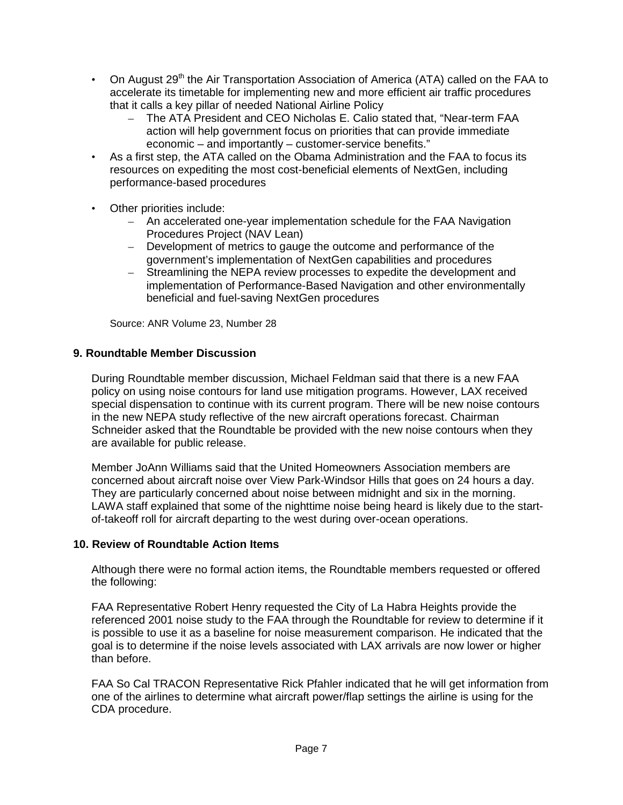- On August 29<sup>th</sup> the Air Transportation Association of America (ATA) called on the FAA to accelerate its timetable for implementing new and more efficient air traffic procedures that it calls a key pillar of needed National Airline Policy
	- The ATA President and CEO Nicholas E. Calio stated that, "Near-term FAA action will help government focus on priorities that can provide immediate economic – and importantly – customer-service benefits."
- As a first step, the ATA called on the Obama Administration and the FAA to focus its resources on expediting the most cost-beneficial elements of NextGen, including performance-based procedures
- Other priorities include:
	- An accelerated one-year implementation schedule for the FAA Navigation Procedures Project (NAV Lean)
	- Development of metrics to gauge the outcome and performance of the government's implementation of NextGen capabilities and procedures
	- Streamlining the NEPA review processes to expedite the development and implementation of Performance-Based Navigation and other environmentally beneficial and fuel-saving NextGen procedures

Source: ANR Volume 23, Number 28

## **9. Roundtable Member Discussion**

During Roundtable member discussion, Michael Feldman said that there is a new FAA policy on using noise contours for land use mitigation programs. However, LAX received special dispensation to continue with its current program. There will be new noise contours in the new NEPA study reflective of the new aircraft operations forecast. Chairman Schneider asked that the Roundtable be provided with the new noise contours when they are available for public release.

Member JoAnn Williams said that the United Homeowners Association members are concerned about aircraft noise over View Park-Windsor Hills that goes on 24 hours a day. They are particularly concerned about noise between midnight and six in the morning. LAWA staff explained that some of the nighttime noise being heard is likely due to the startof-takeoff roll for aircraft departing to the west during over-ocean operations.

## **10. Review of Roundtable Action Items**

Although there were no formal action items, the Roundtable members requested or offered the following:

FAA Representative Robert Henry requested the City of La Habra Heights provide the referenced 2001 noise study to the FAA through the Roundtable for review to determine if it is possible to use it as a baseline for noise measurement comparison. He indicated that the goal is to determine if the noise levels associated with LAX arrivals are now lower or higher than before.

FAA So Cal TRACON Representative Rick Pfahler indicated that he will get information from one of the airlines to determine what aircraft power/flap settings the airline is using for the CDA procedure.